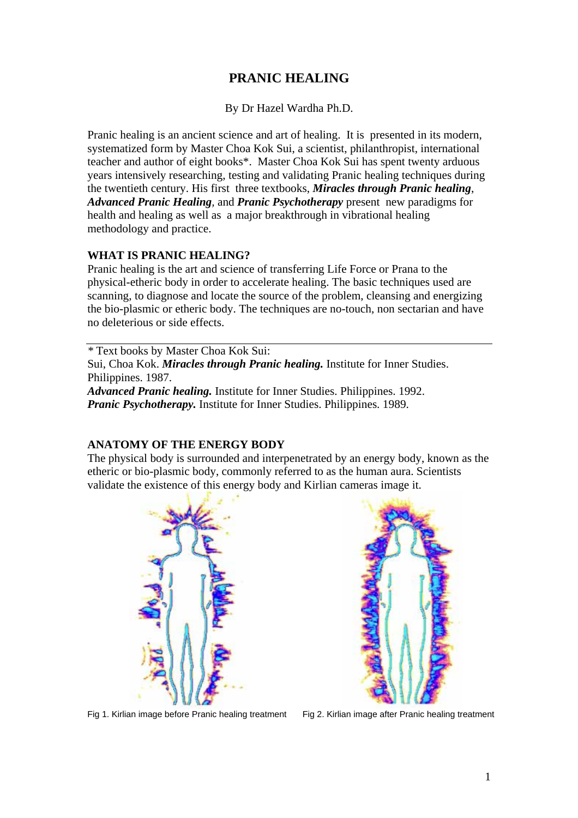# **PRANIC HEALING**

By Dr Hazel Wardha Ph.D.

Pranic healing is an ancient science and art of healing. It is presented in its modern, systematized form by Master Choa Kok Sui, a scientist, philanthropist, international teacher and author of eight books\*. Master Choa Kok Sui has spent twenty arduous years intensively researching, testing and validating Pranic healing techniques during the twentieth century. His first three textbooks, *Miracles through Pranic healing*, *Advanced Pranic Healing,* and *Pranic Psychotherapy* present new paradigms for health and healing as well as a major breakthrough in vibrational healing methodology and practice.

### **WHAT IS PRANIC HEALING?**

Pranic healing is the art and science of transferring Life Force or Prana to the physical-etheric body in order to accelerate healing. The basic techniques used are scanning, to diagnose and locate the source of the problem, cleansing and energizing the bio-plasmic or etheric body. The techniques are no-touch, non sectarian and have no deleterious or side effects.

*\** Text books by Master Choa Kok Sui: Sui, Choa Kok. *Miracles through Pranic healing.* Institute for Inner Studies. Philippines. 1987. *Advanced Pranic healing.* Institute for Inner Studies. Philippines. 1992.

*Pranic Psychotherapy.* Institute for Inner Studies. Philippines. 1989.

#### **ANATOMY OF THE ENERGY BODY**

The physical body is surrounded and interpenetrated by an energy body, known as the etheric or bio-plasmic body, commonly referred to as the human aura. Scientists validate the existence of this energy body and Kirlian cameras image it.





Fig 1. Kirlian image before Pranic healing treatment Fig 2. Kirlian image after Pranic healing treatment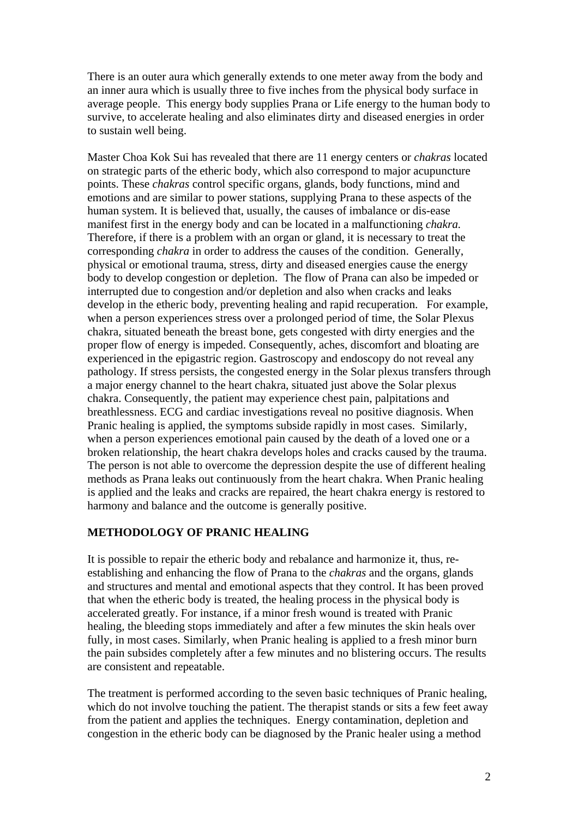There is an outer aura which generally extends to one meter away from the body and an inner aura which is usually three to five inches from the physical body surface in average people. This energy body supplies Prana or Life energy to the human body to survive, to accelerate healing and also eliminates dirty and diseased energies in order to sustain well being.

Master Choa Kok Sui has revealed that there are 11 energy centers or *chakras* located on strategic parts of the etheric body, which also correspond to major acupuncture points. These *chakras* control specific organs, glands, body functions, mind and emotions and are similar to power stations, supplying Prana to these aspects of the human system. It is believed that, usually, the causes of imbalance or dis-ease manifest first in the energy body and can be located in a malfunctioning *chakra.* Therefore, if there is a problem with an organ or gland, it is necessary to treat the corresponding *chakra* in order to address the causes of the condition. Generally, physical or emotional trauma, stress, dirty and diseased energies cause the energy body to develop congestion or depletion. The flow of Prana can also be impeded or interrupted due to congestion and/or depletion and also when cracks and leaks develop in the etheric body, preventing healing and rapid recuperation. For example, when a person experiences stress over a prolonged period of time, the Solar Plexus chakra, situated beneath the breast bone, gets congested with dirty energies and the proper flow of energy is impeded. Consequently, aches, discomfort and bloating are experienced in the epigastric region. Gastroscopy and endoscopy do not reveal any pathology. If stress persists, the congested energy in the Solar plexus transfers through a major energy channel to the heart chakra, situated just above the Solar plexus chakra. Consequently, the patient may experience chest pain, palpitations and breathlessness. ECG and cardiac investigations reveal no positive diagnosis. When Pranic healing is applied, the symptoms subside rapidly in most cases. Similarly, when a person experiences emotional pain caused by the death of a loved one or a broken relationship, the heart chakra develops holes and cracks caused by the trauma. The person is not able to overcome the depression despite the use of different healing methods as Prana leaks out continuously from the heart chakra. When Pranic healing is applied and the leaks and cracks are repaired, the heart chakra energy is restored to harmony and balance and the outcome is generally positive.

#### **METHODOLOGY OF PRANIC HEALING**

It is possible to repair the etheric body and rebalance and harmonize it, thus, reestablishing and enhancing the flow of Prana to the *chakras* and the organs, glands and structures and mental and emotional aspects that they control. It has been proved that when the etheric body is treated, the healing process in the physical body is accelerated greatly. For instance, if a minor fresh wound is treated with Pranic healing, the bleeding stops immediately and after a few minutes the skin heals over fully, in most cases. Similarly, when Pranic healing is applied to a fresh minor burn the pain subsides completely after a few minutes and no blistering occurs. The results are consistent and repeatable.

The treatment is performed according to the seven basic techniques of Pranic healing, which do not involve touching the patient. The therapist stands or sits a few feet away from the patient and applies the techniques. Energy contamination, depletion and congestion in the etheric body can be diagnosed by the Pranic healer using a method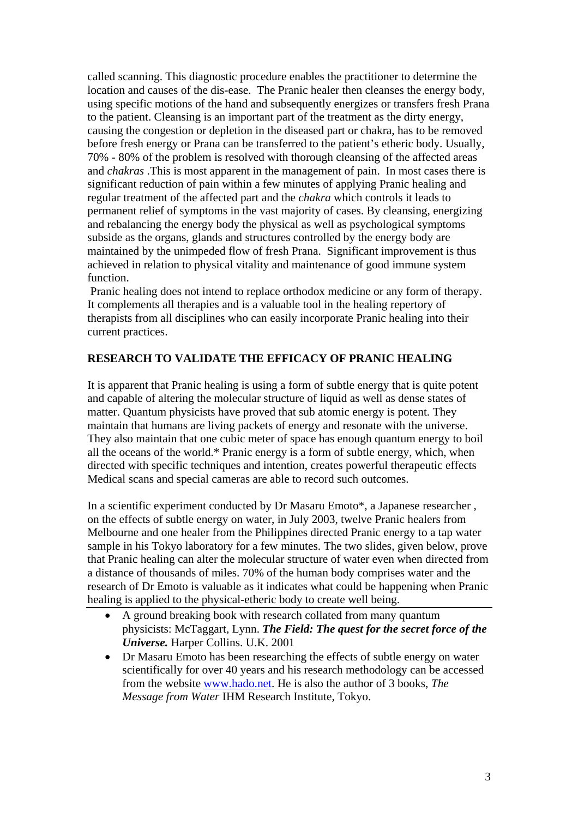called scanning. This diagnostic procedure enables the practitioner to determine the location and causes of the dis-ease. The Pranic healer then cleanses the energy body, using specific motions of the hand and subsequently energizes or transfers fresh Prana to the patient. Cleansing is an important part of the treatment as the dirty energy, causing the congestion or depletion in the diseased part or chakra, has to be removed before fresh energy or Prana can be transferred to the patient's etheric body. Usually, 70% - 80% of the problem is resolved with thorough cleansing of the affected areas and *chakras* .This is most apparent in the management of pain. In most cases there is significant reduction of pain within a few minutes of applying Pranic healing and regular treatment of the affected part and the *chakra* which controls it leads to permanent relief of symptoms in the vast majority of cases. By cleansing, energizing and rebalancing the energy body the physical as well as psychological symptoms subside as the organs, glands and structures controlled by the energy body are maintained by the unimpeded flow of fresh Prana. Significant improvement is thus achieved in relation to physical vitality and maintenance of good immune system function.

 Pranic healing does not intend to replace orthodox medicine or any form of therapy. It complements all therapies and is a valuable tool in the healing repertory of therapists from all disciplines who can easily incorporate Pranic healing into their current practices.

## **RESEARCH TO VALIDATE THE EFFICACY OF PRANIC HEALING**

It is apparent that Pranic healing is using a form of subtle energy that is quite potent and capable of altering the molecular structure of liquid as well as dense states of matter. Quantum physicists have proved that sub atomic energy is potent. They maintain that humans are living packets of energy and resonate with the universe. They also maintain that one cubic meter of space has enough quantum energy to boil all the oceans of the world.\* Pranic energy is a form of subtle energy, which, when directed with specific techniques and intention, creates powerful therapeutic effects Medical scans and special cameras are able to record such outcomes.

In a scientific experiment conducted by Dr Masaru Emoto\*, a Japanese researcher , on the effects of subtle energy on water, in July 2003, twelve Pranic healers from Melbourne and one healer from the Philippines directed Pranic energy to a tap water sample in his Tokyo laboratory for a few minutes. The two slides, given below, prove that Pranic healing can alter the molecular structure of water even when directed from a distance of thousands of miles. 70% of the human body comprises water and the research of Dr Emoto is valuable as it indicates what could be happening when Pranic healing is applied to the physical-etheric body to create well being.

- A ground breaking book with research collated from many quantum physicists: McTaggart, Lynn. *The Field: The quest for the secret force of the Universe.* Harper Collins. U.K. 2001
- Dr Masaru Emoto has been researching the effects of subtle energy on water scientifically for over 40 years and his research methodology can be accessed from the website [www.hado.net.](http://www.hado.net/) He is also the author of 3 books, *The Message from Water* IHM Research Institute, Tokyo.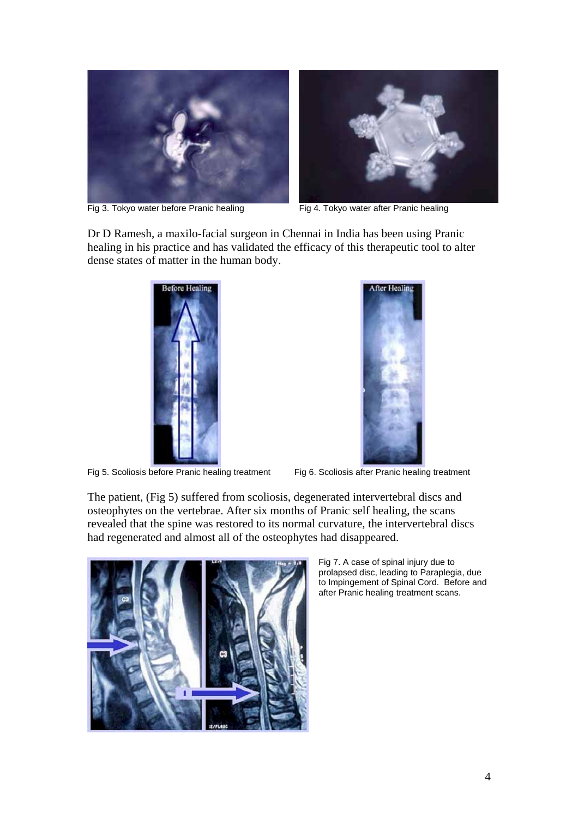



Fig 3. Tokyo water before Pranic healing Fig 4. Tokyo water after Pranic healing

Dr D Ramesh, a maxilo-facial surgeon in Chennai in India has been using Pranic healing in his practice and has validated the efficacy of this therapeutic tool to alter dense states of matter in the human body.



Fig 5. Scoliosis before Pranic healing treatment Fig 6. Scoliosis after Pranic healing treatment



The patient, (Fig 5) suffered from scoliosis, degenerated intervertebral discs and osteophytes on the vertebrae. After six months of Pranic self healing, the scans revealed that the spine was restored to its normal curvature, the intervertebral discs had regenerated and almost all of the osteophytes had disappeared.



Fig 7. A case of spinal injury due to prolapsed disc, leading to Paraplegia, due to Impingement of Spinal Cord. Before and after Pranic healing treatment scans.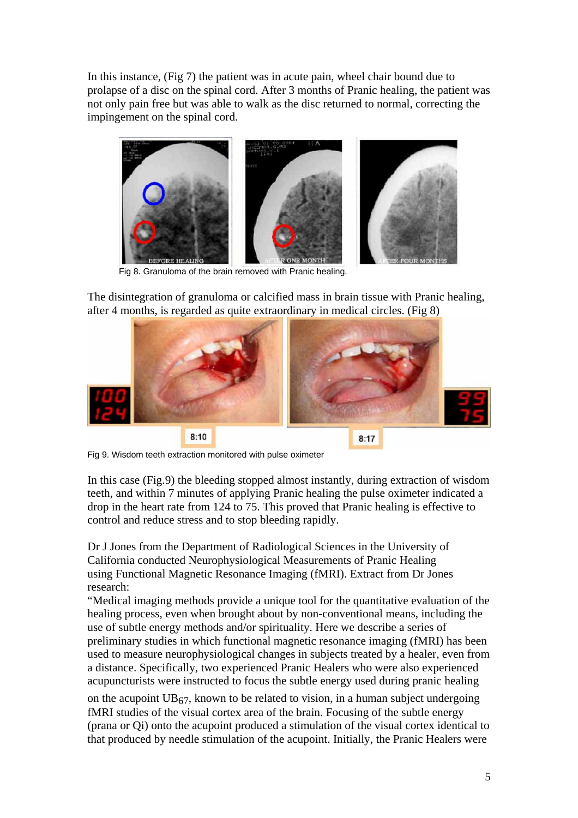In this instance, (Fig 7) the patient was in acute pain, wheel chair bound due to prolapse of a disc on the spinal cord. After 3 months of Pranic healing, the patient was not only pain free but was able to walk as the disc returned to normal, correcting the impingement on the spinal cord.



Fig 8. Granuloma of the brain removed with Pranic healing.

The disintegration of granuloma or calcified mass in brain tissue with Pranic healing, after 4 months, is regarded as quite extraordinary in medical circles. (Fig 8)



Fig 9. Wisdom teeth extraction monitored with pulse oximeter

In this case (Fig.9) the bleeding stopped almost instantly, during extraction of wisdom teeth, and within 7 minutes of applying Pranic healing the pulse oximeter indicated a drop in the heart rate from 124 to 75. This proved that Pranic healing is effective to control and reduce stress and to stop bleeding rapidly.

Dr J Jones from the Department of Radiological Sciences in the University of California conducted Neurophysiological Measurements of Pranic Healing using Functional Magnetic Resonance Imaging (fMRI). Extract from Dr Jones research:

"Medical imaging methods provide a unique tool for the quantitative evaluation of the healing process, even when brought about by non-conventional means, including the use of subtle energy methods and/or spirituality. Here we describe a series of preliminary studies in which functional magnetic resonance imaging (fMRI) has been used to measure neurophysiological changes in subjects treated by a healer, even from a distance. Specifically, two experienced Pranic Healers who were also experienced acupuncturists were instructed to focus the subtle energy used during pranic healing

on the acupoint  $UB_{67}$ , known to be related to vision, in a human subject undergoing fMRI studies of the visual cortex area of the brain. Focusing of the subtle energy (prana or Qi) onto the acupoint produced a stimulation of the visual cortex identical to that produced by needle stimulation of the acupoint. Initially, the Pranic Healers were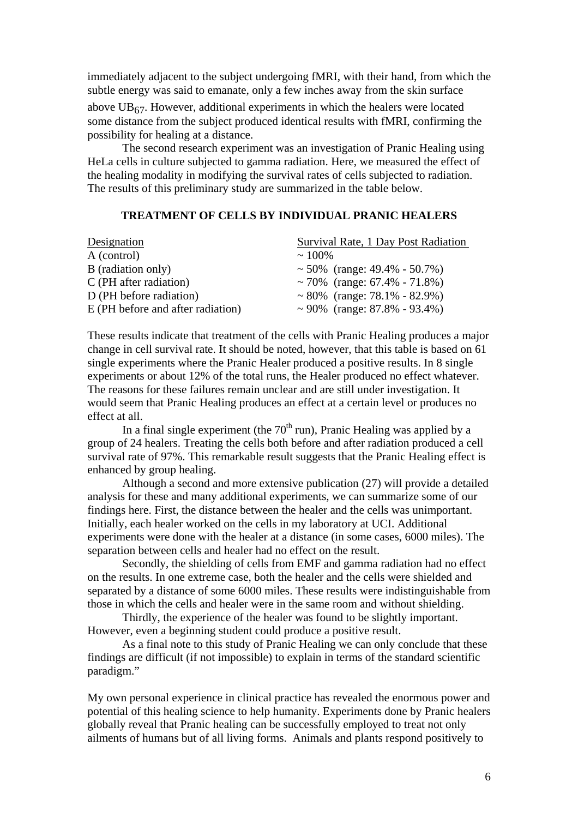immediately adjacent to the subject undergoing fMRI, with their hand, from which the subtle energy was said to emanate, only a few inches away from the skin surface

above  $UB_{67}$ . However, additional experiments in which the healers were located some distance from the subject produced identical results with fMRI, confirming the possibility for healing at a distance.

The second research experiment was an investigation of Pranic Healing using HeLa cells in culture subjected to gamma radiation. Here, we measured the effect of the healing modality in modifying the survival rates of cells subjected to radiation. The results of this preliminary study are summarized in the table below.

#### **TREATMENT OF CELLS BY INDIVIDUAL PRANIC HEALERS**

| Survival Rate, 1 Day Post Radiation |
|-------------------------------------|
| $\sim 100\%$                        |
| ~ 50% (range: $49.4\%$ - 50.7%)     |
| ~70% (range: $67.4\%$ - $71.8\%)$   |
| ~80% (range: $78.1\%$ - 82.9%)      |
| ~90\% (range: $87.8\%$ - 93.4\%)    |
|                                     |

These results indicate that treatment of the cells with Pranic Healing produces a major change in cell survival rate. It should be noted, however, that this table is based on 61 single experiments where the Pranic Healer produced a positive results. In 8 single experiments or about 12% of the total runs, the Healer produced no effect whatever. The reasons for these failures remain unclear and are still under investigation. It would seem that Pranic Healing produces an effect at a certain level or produces no effect at all.

In a final single experiment (the  $70<sup>th</sup>$  run), Pranic Healing was applied by a group of 24 healers. Treating the cells both before and after radiation produced a cell survival rate of 97%. This remarkable result suggests that the Pranic Healing effect is enhanced by group healing.

Although a second and more extensive publication (27) will provide a detailed analysis for these and many additional experiments, we can summarize some of our findings here. First, the distance between the healer and the cells was unimportant. Initially, each healer worked on the cells in my laboratory at UCI. Additional experiments were done with the healer at a distance (in some cases, 6000 miles). The separation between cells and healer had no effect on the result.

Secondly, the shielding of cells from EMF and gamma radiation had no effect on the results. In one extreme case, both the healer and the cells were shielded and separated by a distance of some 6000 miles. These results were indistinguishable from those in which the cells and healer were in the same room and without shielding.

Thirdly, the experience of the healer was found to be slightly important. However, even a beginning student could produce a positive result.

As a final note to this study of Pranic Healing we can only conclude that these findings are difficult (if not impossible) to explain in terms of the standard scientific paradigm."

My own personal experience in clinical practice has revealed the enormous power and potential of this healing science to help humanity. Experiments done by Pranic healers globally reveal that Pranic healing can be successfully employed to treat not only ailments of humans but of all living forms. Animals and plants respond positively to